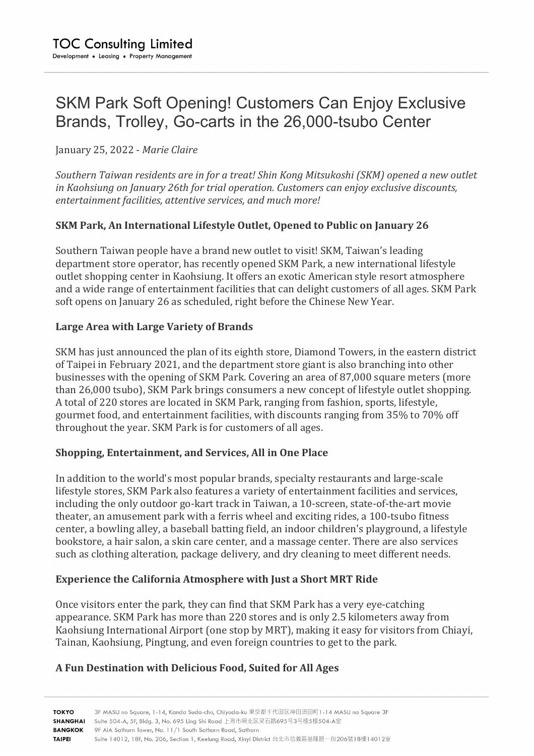# SKM Park Soft Opening! Customers Can Enjoy Exclusive Brands, Trolley, Go-carts in the 26,000-tsubo Center

January 25, 2022 - Marie Claire

Southern Taiwan residents are in for a treat! Shin Kong Mitsukoshi (SKM) opened a new outlet *in Kaohsiung on January 26th for trial operation. Customers can enjoy exclusive discounts, entertainment facilities, attentive services, and much more!*

## **SKM Park, An International Lifestyle Outlet, Opened to Public on January 26**

Southern Taiwan people have a brand new outlet to visit! SKM, Taiwan's leading department store operator, has recently opened SKM Park, a new international lifestyle outlet shopping center in Kaohsiung. It offers an exotic American style resort atmosphere and a wide range of entertainment facilities that can delight customers of all ages. SKM Park soft opens on January 26 as scheduled, right before the Chinese New Year.

## Large Area with Large Variety of Brands

SKM has just announced the plan of its eighth store, Diamond Towers, in the eastern district of Taipei in February 2021, and the department store giant is also branching into other businesses with the opening of SKM Park. Covering an area of 87,000 square meters (more than 26,000 tsubo), SKM Park brings consumers a new concept of lifestyle outlet shopping. A total of 220 stores are located in SKM Park, ranging from fashion, sports, lifestyle, gourmet food, and entertainment facilities, with discounts ranging from 35% to 70% off throughout the year. SKM Park is for customers of all ages.

#### **Shopping, Entertainment, and Services, All in One Place**

In addition to the world's most popular brands, specialty restaurants and large-scale lifestyle stores, SKM Park also features a variety of entertainment facilities and services, including the only outdoor go-kart track in Taiwan, a 10-screen, state-of-the-art movie theater, an amusement park with a ferris wheel and exciting rides, a 100-tsubo fitness center, a bowling alley, a baseball batting field, an indoor children's playground, a lifestyle bookstore, a hair salon, a skin care center, and a massage center. There are also services such as clothing alteration, package delivery, and dry cleaning to meet different needs.

#### **Experience the California Atmosphere with Just a Short MRT Ride**

Once visitors enter the park, they can find that SKM Park has a very eye-catching appearance. SKM Park has more than 220 stores and is only 2.5 kilometers away from Kaohsiung International Airport (one stop by MRT), making it easy for visitors from Chiayi, Tainan, Kaohsiung, Pingtung, and even foreign countries to get to the park.

# **A Fun Destination with Delicious Food, Suited for All Ages**

3F MASU no Square, 1-14, Kanda Suda-cho, Chiyoda-ku 東京都千代田区神田須田町1-14 MASU no Square 3F ΤΟΚΥΟ SHANGHAI Suite 504-A, 5F, Bldg. 3, No. 695 Ling Shi Road 上海市闸北区灵石路695号3号楼5楼504-A室 **BANGKOK** 9F AIA Sathorn Tower, No. 11/1 South Sathorn Road, Sathorn **TAIPEI** Suite 14012, 18F, No. 206, Section 1, Keelung Road, Xinyi District 台北市信義區基隆路一段206號18樓14012室